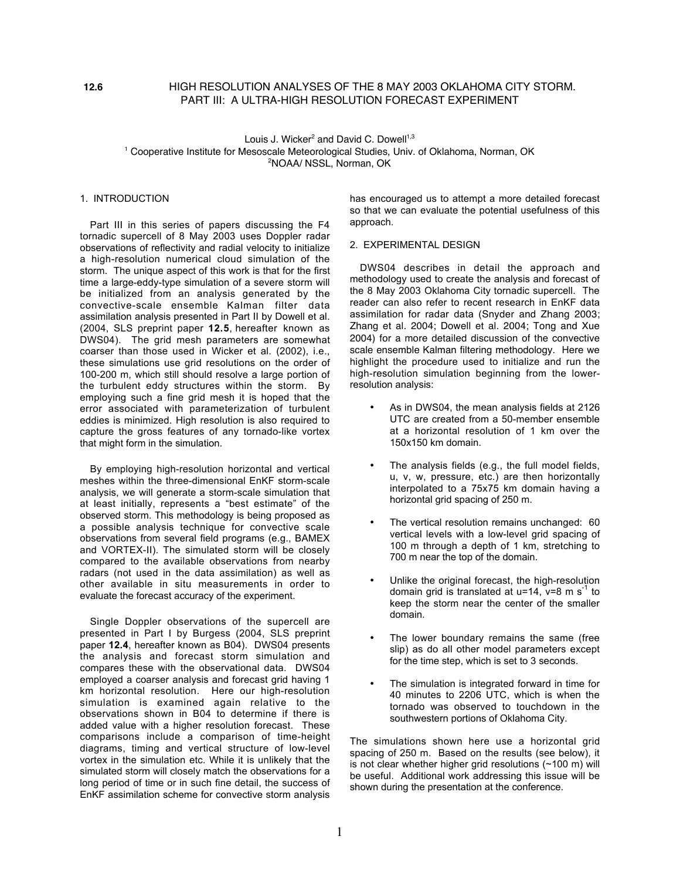# **12.6** HIGH RESOLUTION ANALYSES OF THE 8 MAY 2003 OKLAHOMA CITY STORM. PART III: A ULTRA-HIGH RESOLUTION FORECAST EXPERIMENT

### Louis J. Wicker<sup>2</sup> and David C. Dowell<sup>1,3</sup> 1 Cooperative Institute for Mesoscale Meteorological Studies, Univ. of Oklahoma, Norman, OK 2 NOAA/ NSSL, Norman, OK

#### 1. INTRODUCTION

Part III in this series of papers discussing the F4 tornadic supercell of 8 May 2003 uses Doppler radar observations of reflectivity and radial velocity to initialize a high-resolution numerical cloud simulation of the storm. The unique aspect of this work is that for the first time a large-eddy-type simulation of a severe storm will be initialized from an analysis generated by the convective-scale ensemble Kalman filter data assimilation analysis presented in Part II by Dowell et al. (2004, SLS preprint paper **12.5**, hereafter known as DWS04). The grid mesh parameters are somewhat coarser than those used in Wicker et al. (2002), i.e., these simulations use grid resolutions on the order of 100-200 m, which still should resolve a large portion of the turbulent eddy structures within the storm. By employing such a fine grid mesh it is hoped that the error associated with parameterization of turbulent eddies is minimized. High resolution is also required to capture the gross features of any tornado-like vortex that might form in the simulation.

By employing high-resolution horizontal and vertical meshes within the three-dimensional EnKF storm-scale analysis, we will generate a storm-scale simulation that at least initially, represents a "best estimate" of the observed storm. This methodology is being proposed as a possible analysis technique for convective scale observations from several field programs (e.g., BAMEX and VORTEX-II). The simulated storm will be closely compared to the available observations from nearby radars (not used in the data assimilation) as well as other available in situ measurements in order to evaluate the forecast accuracy of the experiment.

Single Doppler observations of the supercell are presented in Part I by Burgess (2004, SLS preprint paper **12.4**, hereafter known as B04). DWS04 presents the analysis and forecast storm simulation and compares these with the observational data. DWS04 employed a coarser analysis and forecast grid having 1 km horizontal resolution. Here our high-resolution simulation is examined again relative to the observations shown in B04 to determine if there is added value with a higher resolution forecast. These comparisons include a comparison of time-height diagrams, timing and vertical structure of low-level vortex in the simulation etc. While it is unlikely that the simulated storm will closely match the observations for a long period of time or in such fine detail, the success of EnKF assimilation scheme for convective storm analysis

has encouraged us to attempt a more detailed forecast so that we can evaluate the potential usefulness of this approach.

# 2. EXPERIMENTAL DESIGN

DWS04 describes in detail the approach and methodology used to create the analysis and forecast of the 8 May 2003 Oklahoma City tornadic supercell. The reader can also refer to recent research in EnKF data assimilation for radar data (Snyder and Zhang 2003; Zhang et al. 2004; Dowell et al. 2004; Tong and Xue 2004) for a more detailed discussion of the convective scale ensemble Kalman filtering methodology. Here we highlight the procedure used to initialize and run the high-resolution simulation beginning from the lowerresolution analysis:

- As in DWS04, the mean analysis fields at 2126 UTC are created from a 50-member ensemble at a horizontal resolution of 1 km over the 150x150 km domain.
- The analysis fields (e.g., the full model fields, u, v, w, pressure, etc.) are then horizontally interpolated to a 75x75 km domain having a horizontal grid spacing of 250 m.
- The vertical resolution remains unchanged: 60 vertical levels with a low-level grid spacing of 100 m through a depth of 1 km, stretching to 700 m near the top of the domain.
- Unlike the original forecast, the high-resolution domain grid is translated at u=14,  $v=8$  m s<sup>-1</sup> to keep the storm near the center of the smaller domain.
- The lower boundary remains the same (free slip) as do all other model parameters except for the time step, which is set to 3 seconds.
- The simulation is integrated forward in time for 40 minutes to 2206 UTC, which is when the tornado was observed to touchdown in the southwestern portions of Oklahoma City.

The simulations shown here use a horizontal grid spacing of 250 m. Based on the results (see below), it is not clear whether higher grid resolutions (~100 m) will be useful. Additional work addressing this issue will be shown during the presentation at the conference.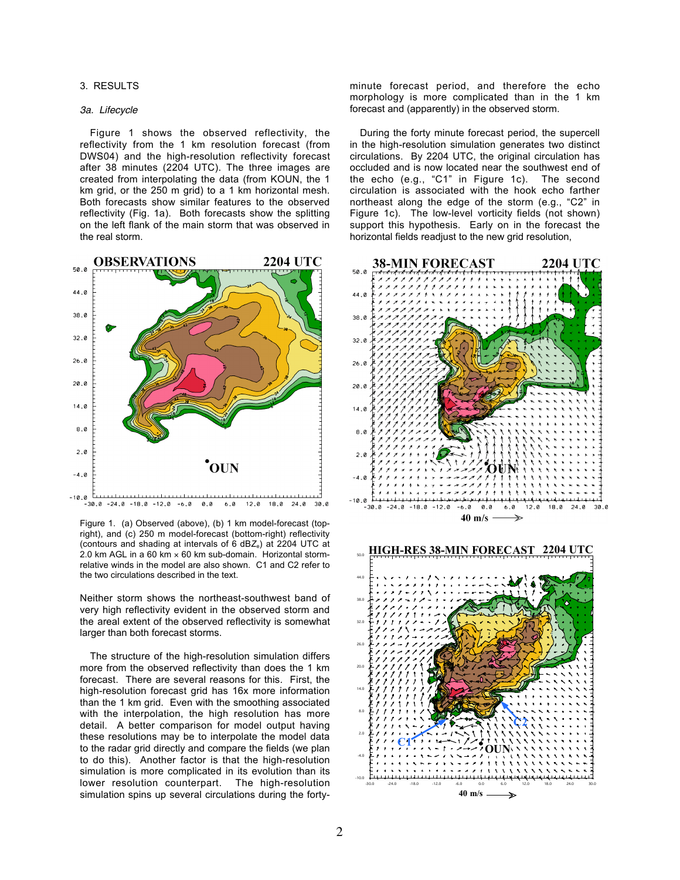### 3. RESULTS

#### 3a. Lifecycle

Figure 1 shows the observed reflectivity, the reflectivity from the 1 km resolution forecast (from DWS04) and the high-resolution reflectivity forecast after 38 minutes (2204 UTC). The three images are created from interpolating the data (from KOUN, the 1 km grid, or the 250 m grid) to a 1 km horizontal mesh. Both forecasts show similar features to the observed reflectivity (Fig. 1a). Both forecasts show the splitting on the left flank of the main storm that was observed in the real storm.



Figure 1. (a) Observed (above), (b) 1 km model-forecast (topright), and (c) 250 m model-forecast (bottom-right) reflectivity (contours and shading at intervals of 6 dB*Z*e) at 2204 UTC at 2.0 km AGL in a 60 km  $\times$  60 km sub-domain. Horizontal stormrelative winds in the model are also shown. C1 and C2 refer to the two circulations described in the text.

Neither storm shows the northeast-southwest band of very high reflectivity evident in the observed storm and the areal extent of the observed reflectivity is somewhat larger than both forecast storms.

The structure of the high-resolution simulation differs more from the observed reflectivity than does the 1 km forecast. There are several reasons for this. First, the high-resolution forecast grid has 16x more information than the 1 km grid. Even with the smoothing associated with the interpolation, the high resolution has more detail. A better comparison for model output having these resolutions may be to interpolate the model data to the radar grid directly and compare the fields (we plan to do this). Another factor is that the high-resolution simulation is more complicated in its evolution than its lower resolution counterpart. The high-resolution simulation spins up several circulations during the fortyminute forecast period, and therefore the echo morphology is more complicated than in the 1 km forecast and (apparently) in the observed storm.

During the forty minute forecast period, the supercell in the high-resolution simulation generates two distinct circulations. By 2204 UTC, the original circulation has occluded and is now located near the southwest end of the echo (e.g., "C1" in Figure 1c). The second circulation is associated with the hook echo farther northeast along the edge of the storm (e.g., "C2" in Figure 1c). The low-level vorticity fields (not shown) support this hypothesis. Early on in the forecast the horizontal fields readjust to the new grid resolution,

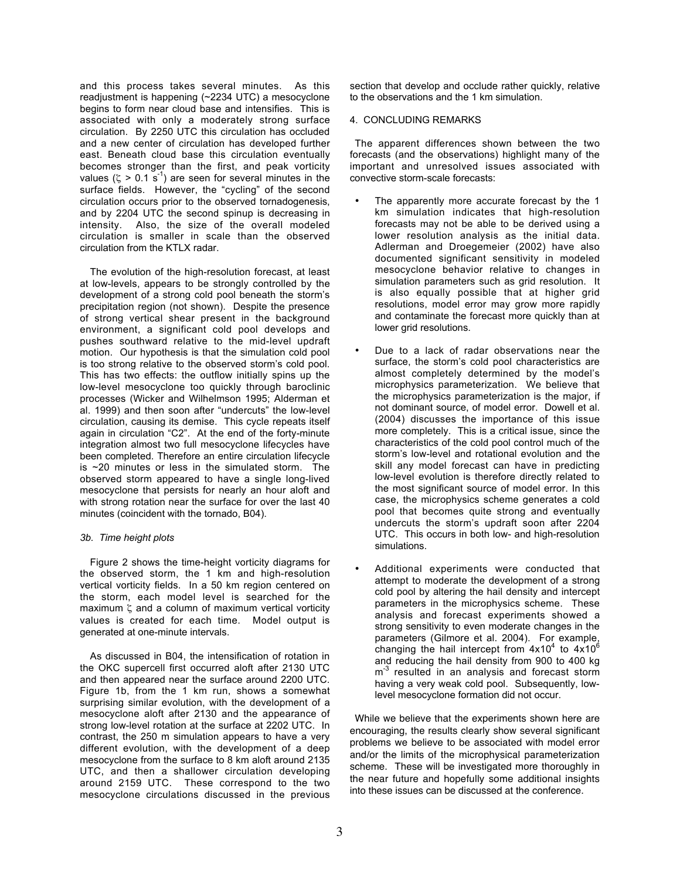and this process takes several minutes. As this readjustment is happening (~2234 UTC) a mesocyclone begins to form near cloud base and intensifies. This is associated with only a moderately strong surface circulation. By 2250 UTC this circulation has occluded and a new center of circulation has developed further east. Beneath cloud base this circulation eventually becomes stronger than the first, and peak vorticity values ( $\zeta > 0.1 \text{ s}^{-1}$ ) are seen for several minutes in the surface fields. However, the "cycling" of the second circulation occurs prior to the observed tornadogenesis, and by 2204 UTC the second spinup is decreasing in intensity. Also, the size of the overall modeled circulation is smaller in scale than the observed circulation from the KTLX radar.

The evolution of the high-resolution forecast, at least at low-levels, appears to be strongly controlled by the development of a strong cold pool beneath the storm's precipitation region (not shown). Despite the presence of strong vertical shear present in the background environment, a significant cold pool develops and pushes southward relative to the mid-level updraft motion. Our hypothesis is that the simulation cold pool is too strong relative to the observed storm's cold pool. This has two effects: the outflow initially spins up the low-level mesocyclone too quickly through baroclinic processes (Wicker and Wilhelmson 1995; Alderman et al. 1999) and then soon after "undercuts" the low-level circulation, causing its demise. This cycle repeats itself again in circulation "C2". At the end of the forty-minute integration almost two full mesocyclone lifecycles have been completed. Therefore an entire circulation lifecycle is ~20 minutes or less in the simulated storm. The observed storm appeared to have a single long-lived mesocyclone that persists for nearly an hour aloft and with strong rotation near the surface for over the last 40 minutes (coincident with the tornado, B04).

## *3b. Time height plots*

Figure 2 shows the time-height vorticity diagrams for the observed storm, the 1 km and high-resolution vertical vorticity fields. In a 50 km region centered on the storm, each model level is searched for the maximum ζ and a column of maximum vertical vorticity values is created for each time. Model output is generated at one-minute intervals.

As discussed in B04, the intensification of rotation in the OKC supercell first occurred aloft after 2130 UTC and then appeared near the surface around 2200 UTC. Figure 1b, from the 1 km run, shows a somewhat surprising similar evolution, with the development of a mesocyclone aloft after 2130 and the appearance of strong low-level rotation at the surface at 2202 UTC. In contrast, the 250 m simulation appears to have a very different evolution, with the development of a deep mesocyclone from the surface to 8 km aloft around 2135 UTC, and then a shallower circulation developing around 2159 UTC. These correspond to the two mesocyclone circulations discussed in the previous section that develop and occlude rather quickly, relative to the observations and the 1 km simulation.

#### 4. CONCLUDING REMARKS

The apparent differences shown between the two forecasts (and the observations) highlight many of the important and unresolved issues associated with convective storm-scale forecasts:

- The apparently more accurate forecast by the 1 km simulation indicates that high-resolution forecasts may not be able to be derived using a lower resolution analysis as the initial data. Adlerman and Droegemeier (2002) have also documented significant sensitivity in modeled mesocyclone behavior relative to changes in simulation parameters such as grid resolution. It is also equally possible that at higher grid resolutions, model error may grow more rapidly and contaminate the forecast more quickly than at lower grid resolutions.
- Due to a lack of radar observations near the surface, the storm's cold pool characteristics are almost completely determined by the model's microphysics parameterization. We believe that the microphysics parameterization is the major, if not dominant source, of model error. Dowell et al. (2004) discusses the importance of this issue more completely. This is a critical issue, since the characteristics of the cold pool control much of the storm's low-level and rotational evolution and the skill any model forecast can have in predicting low-level evolution is therefore directly related to the most significant source of model error. In this case, the microphysics scheme generates a cold pool that becomes quite strong and eventually undercuts the storm's updraft soon after 2204 UTC. This occurs in both low- and high-resolution simulations.
- Additional experiments were conducted that attempt to moderate the development of a strong cold pool by altering the hail density and intercept parameters in the microphysics scheme. These analysis and forecast experiments showed a strong sensitivity to even moderate changes in the parameters (Gilmore et al. 2004). For example, changing the hail intercept from  $4x10^4$  to  $4x10^6$ and reducing the hail density from 900 to 400 kg  $m<sup>-3</sup>$  resulted in an analysis and forecast storm having a very weak cold pool. Subsequently, lowlevel mesocyclone formation did not occur.

While we believe that the experiments shown here are encouraging, the results clearly show several significant problems we believe to be associated with model error and/or the limits of the microphysical parameterization scheme. These will be investigated more thoroughly in the near future and hopefully some additional insights into these issues can be discussed at the conference.